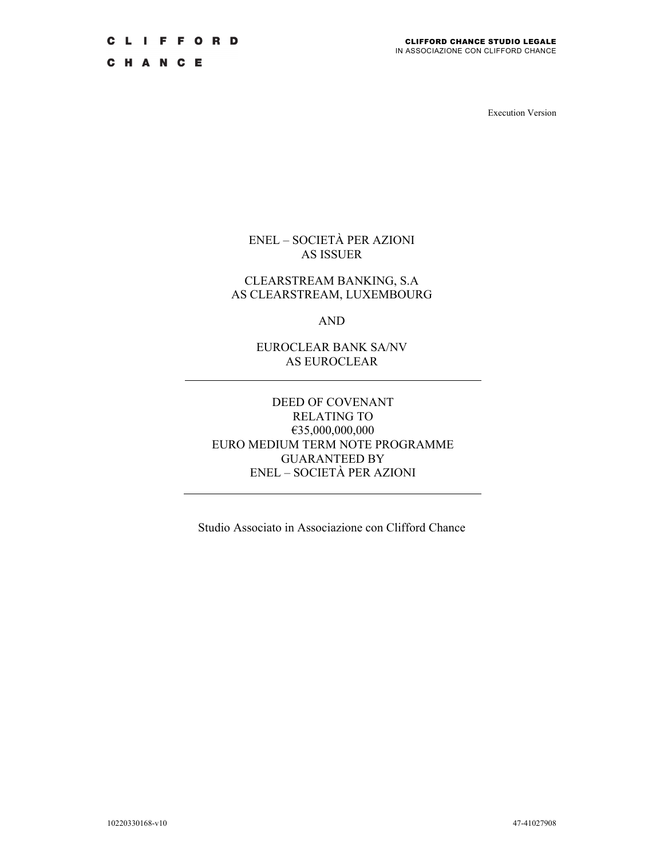CHANCE

Execution Version

ENEL – SOCIETÀ PER AZIONI AS ISSUER

## CLEARSTREAM BANKING, S.A AS CLEARSTREAM, LUXEMBOURG

AND

EUROCLEAR BANK SA/NV AS EUROCLEAR

## DEED OF COVENANT RELATING TO €35,000,000,000 EURO MEDIUM TERM NOTE PROGRAMME GUARANTEED BY ENEL – SOCIETÀ PER AZIONI

Studio Associato in Associazione con Clifford Chance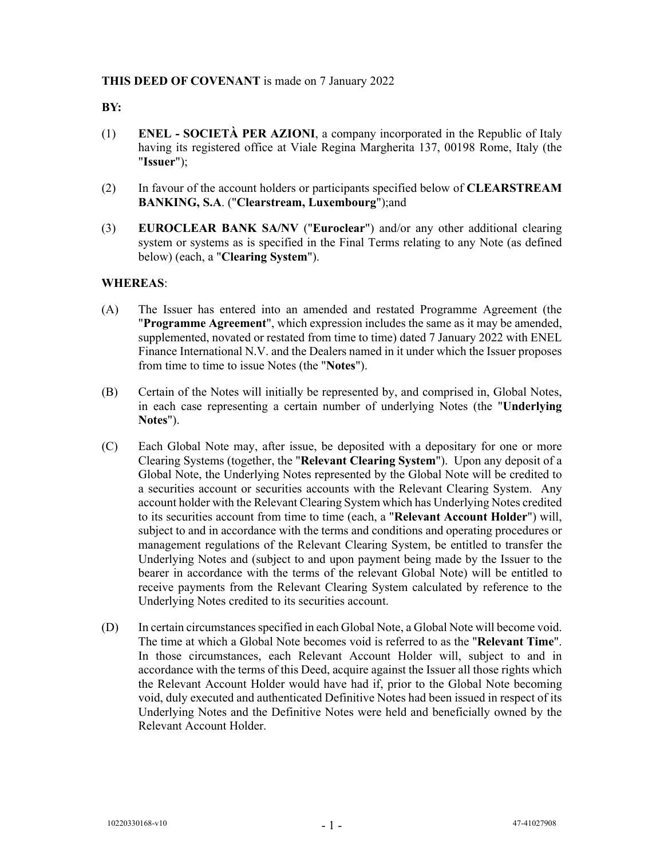## **THIS DEED OF COVENANT** is made on 7 January 2022

#### **BY:**

- (1) **ENEL SOCIETÀ PER AZIONI**, a company incorporated in the Republic of Italy having its registered office at Viale Regina Margherita 137, 00198 Rome, Italy (the "**Issuer**");
- (2) In favour of the account holders or participants specified below of **CLEARSTREAM BANKING, S.A**. ("**Clearstream, Luxembourg**");and
- (3) **EUROCLEAR BANK SA/NV** ("**Euroclear**") and/or any other additional clearing system or systems as is specified in the Final Terms relating to any Note (as defined below) (each, a "**Clearing System**").

# **WHEREAS**:

- (A) The Issuer has entered into an amended and restated Programme Agreement (the "**Programme Agreement**", which expression includes the same as it may be amended, supplemented, novated or restated from time to time) dated 7 January 2022 with ENEL Finance International N.V. and the Dealers named in it under which the Issuer proposes from time to time to issue Notes (the "**Notes**").
- (B) Certain of the Notes will initially be represented by, and comprised in, Global Notes, in each case representing a certain number of underlying Notes (the "**Underlying Notes**").
- (C) Each Global Note may, after issue, be deposited with a depositary for one or more Clearing Systems (together, the "**Relevant Clearing System**"). Upon any deposit of a Global Note, the Underlying Notes represented by the Global Note will be credited to a securities account or securities accounts with the Relevant Clearing System. Any account holder with the Relevant Clearing System which has Underlying Notes credited to its securities account from time to time (each, a "**Relevant Account Holder**") will, subject to and in accordance with the terms and conditions and operating procedures or management regulations of the Relevant Clearing System, be entitled to transfer the Underlying Notes and (subject to and upon payment being made by the Issuer to the bearer in accordance with the terms of the relevant Global Note) will be entitled to receive payments from the Relevant Clearing System calculated by reference to the Underlying Notes credited to its securities account.
- (D) In certain circumstances specified in each Global Note, a Global Note will become void. The time at which a Global Note becomes void is referred to as the "**Relevant Time**". In those circumstances, each Relevant Account Holder will, subject to and in accordance with the terms of this Deed, acquire against the Issuer all those rights which the Relevant Account Holder would have had if, prior to the Global Note becoming void, duly executed and authenticated Definitive Notes had been issued in respect of its Underlying Notes and the Definitive Notes were held and beneficially owned by the Relevant Account Holder.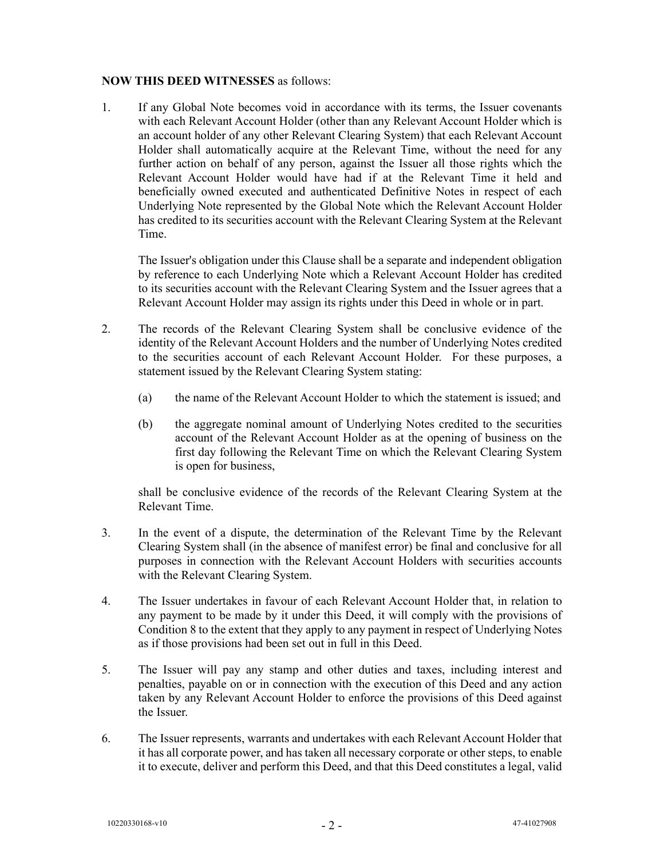## **NOW THIS DEED WITNESSES** as follows:

1. If any Global Note becomes void in accordance with its terms, the Issuer covenants with each Relevant Account Holder (other than any Relevant Account Holder which is an account holder of any other Relevant Clearing System) that each Relevant Account Holder shall automatically acquire at the Relevant Time, without the need for any further action on behalf of any person, against the Issuer all those rights which the Relevant Account Holder would have had if at the Relevant Time it held and beneficially owned executed and authenticated Definitive Notes in respect of each Underlying Note represented by the Global Note which the Relevant Account Holder has credited to its securities account with the Relevant Clearing System at the Relevant Time.

The Issuer's obligation under this Clause shall be a separate and independent obligation by reference to each Underlying Note which a Relevant Account Holder has credited to its securities account with the Relevant Clearing System and the Issuer agrees that a Relevant Account Holder may assign its rights under this Deed in whole or in part.

- 2. The records of the Relevant Clearing System shall be conclusive evidence of the identity of the Relevant Account Holders and the number of Underlying Notes credited to the securities account of each Relevant Account Holder. For these purposes, a statement issued by the Relevant Clearing System stating:
	- (a) the name of the Relevant Account Holder to which the statement is issued; and
	- (b) the aggregate nominal amount of Underlying Notes credited to the securities account of the Relevant Account Holder as at the opening of business on the first day following the Relevant Time on which the Relevant Clearing System is open for business,

shall be conclusive evidence of the records of the Relevant Clearing System at the Relevant Time.

- 3. In the event of a dispute, the determination of the Relevant Time by the Relevant Clearing System shall (in the absence of manifest error) be final and conclusive for all purposes in connection with the Relevant Account Holders with securities accounts with the Relevant Clearing System.
- 4. The Issuer undertakes in favour of each Relevant Account Holder that, in relation to any payment to be made by it under this Deed, it will comply with the provisions of Condition 8 to the extent that they apply to any payment in respect of Underlying Notes as if those provisions had been set out in full in this Deed.
- 5. The Issuer will pay any stamp and other duties and taxes, including interest and penalties, payable on or in connection with the execution of this Deed and any action taken by any Relevant Account Holder to enforce the provisions of this Deed against the Issuer.
- 6. The Issuer represents, warrants and undertakes with each Relevant Account Holder that it has all corporate power, and has taken all necessary corporate or other steps, to enable it to execute, deliver and perform this Deed, and that this Deed constitutes a legal, valid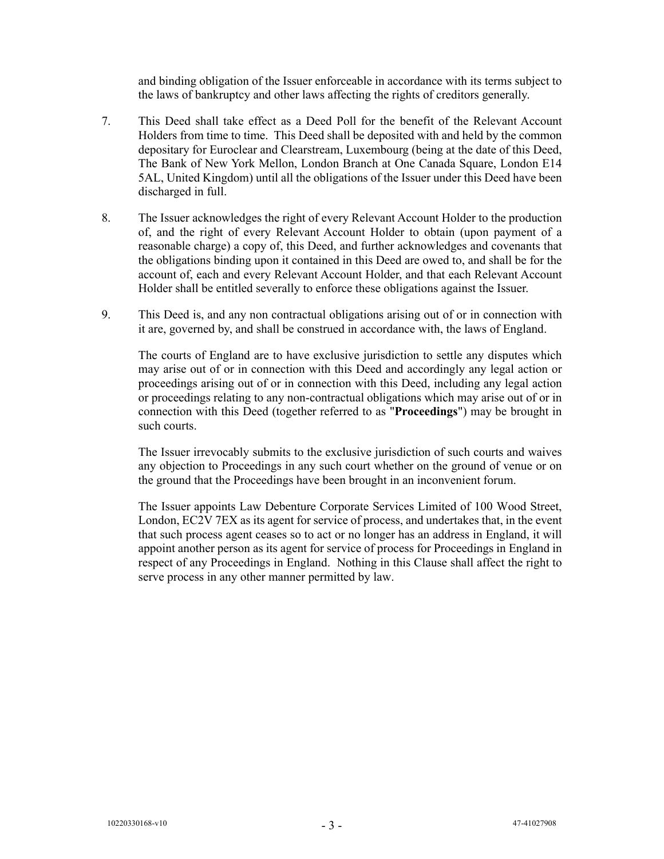and binding obligation of the Issuer enforceable in accordance with its terms subject to the laws of bankruptcy and other laws affecting the rights of creditors generally.

- 7. This Deed shall take effect as a Deed Poll for the benefit of the Relevant Account Holders from time to time. This Deed shall be deposited with and held by the common depositary for Euroclear and Clearstream, Luxembourg (being at the date of this Deed, The Bank of New York Mellon, London Branch at One Canada Square, London E14 5AL, United Kingdom) until all the obligations of the Issuer under this Deed have been discharged in full.
- 8. The Issuer acknowledges the right of every Relevant Account Holder to the production of, and the right of every Relevant Account Holder to obtain (upon payment of a reasonable charge) a copy of, this Deed, and further acknowledges and covenants that the obligations binding upon it contained in this Deed are owed to, and shall be for the account of, each and every Relevant Account Holder, and that each Relevant Account Holder shall be entitled severally to enforce these obligations against the Issuer.
- 9. This Deed is, and any non contractual obligations arising out of or in connection with it are, governed by, and shall be construed in accordance with, the laws of England.

The courts of England are to have exclusive jurisdiction to settle any disputes which may arise out of or in connection with this Deed and accordingly any legal action or proceedings arising out of or in connection with this Deed, including any legal action or proceedings relating to any non-contractual obligations which may arise out of or in connection with this Deed (together referred to as "**Proceedings**") may be brought in such courts.

The Issuer irrevocably submits to the exclusive jurisdiction of such courts and waives any objection to Proceedings in any such court whether on the ground of venue or on the ground that the Proceedings have been brought in an inconvenient forum.

The Issuer appoints Law Debenture Corporate Services Limited of 100 Wood Street, London, EC2V 7EX as its agent for service of process, and undertakes that, in the event that such process agent ceases so to act or no longer has an address in England, it will appoint another person as its agent for service of process for Proceedings in England in respect of any Proceedings in England. Nothing in this Clause shall affect the right to serve process in any other manner permitted by law.